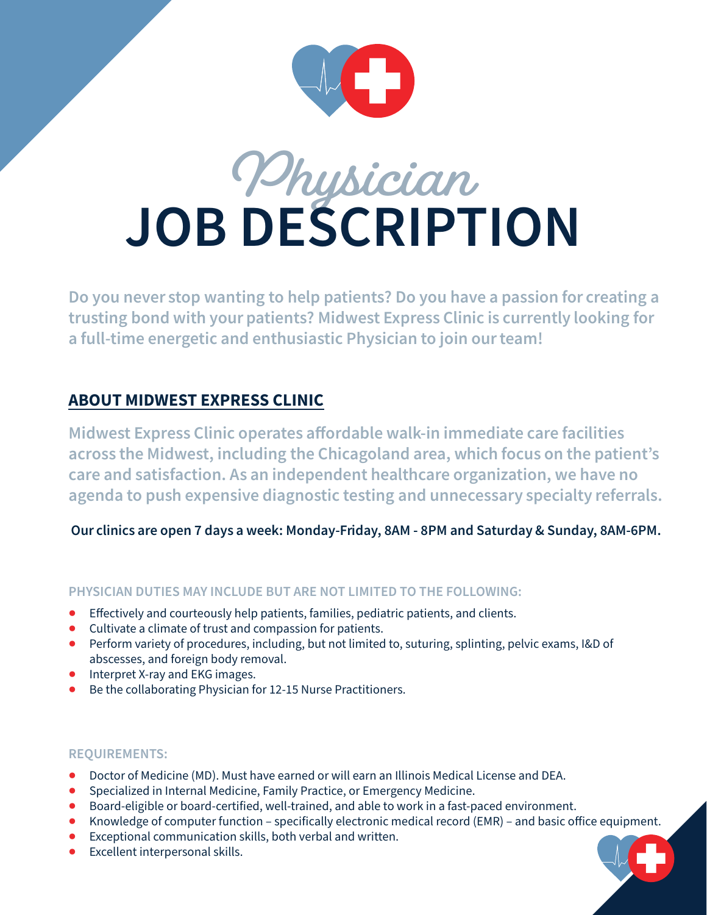

# **Physician JOB DESCRIPTION**

Do you never stop wanting to help patients? Do you have a passion for creating a trusting bond with your patients? Midwest Express Clinic is currently looking for a full-time energetic and enthusiastic Physician to join our team!

### ABOUT MIDWEST EXPRESS CLINIC

Midwest Express Clinic operates affordable walk-in immediate care facilities across the Midwest, including the Chicagoland area, which focus on the patient's care and satisfaction. As an independent healthcare organization, we have no agenda to push expensive diagnostic testing and unnecessary specialty referrals.

Our clinics are open 7 days a week: Monday-Friday, 8AM - 8PM and Saturday & Sunday, 8AM-6PM.

### **PHYSICIAN DUTIES MAY INCLUDE BUT ARE NOT LIMITED TO THE FOLLOWING:**

- Effectively and courteously help patients, families, pediatric patients, and clients.
- Cultivate a climate of trust and compassion for patients.
- Perform variety of procedures, including, but not limited to, suturing, splinting, pelvic exams, I&D of abscesses, and foreign body removal.
- Interpret X-ray and EKG images.
- Be the collaborating Physician for 12-15 Nurse Practitioners.

### **REQUIREMENTS:**

- Doctor of Medicine (MD). Must have earned or will earn an Illinois Medical License and DEA.
- Specialized in Internal Medicine, Family Practice, or Emergency Medicine.
- Board-eligible or board-certified, well-trained, and able to work in a fast-paced environment.
- Knowledge of computer function specifically electronic medical record (EMR) and basic office equipment.
- Exceptional communication skills, both verbal and written.
- Excellent interpersonal skills.